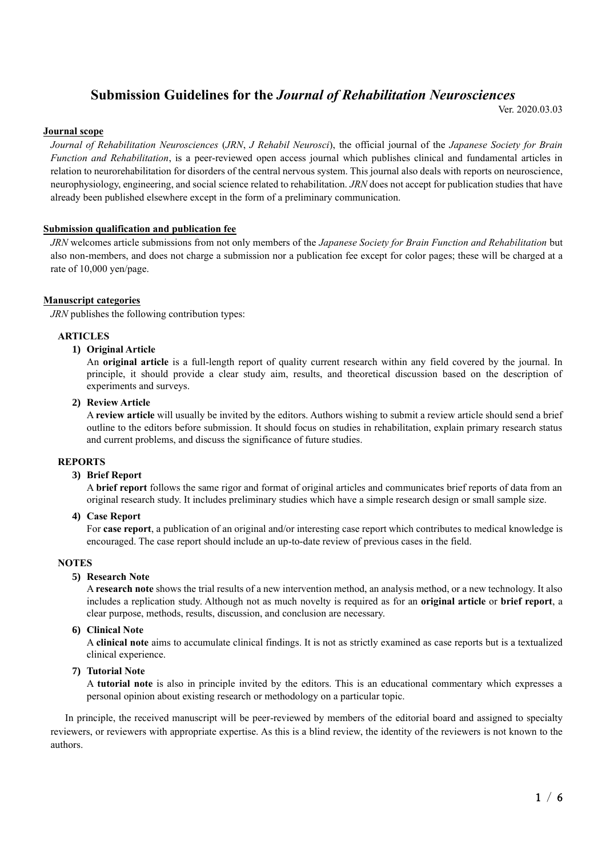# **Submission Guidelines for the** *Journal of Rehabilitation Neurosciences*

Ver. 2020.03.03

# **Journal scope**

*Journal of Rehabilitation Neurosciences* (*JRN*, *J Rehabil Neurosci*), the official journal of the *Japanese Society for Brain Function and Rehabilitation*, is a peer-reviewed open access journal which publishes clinical and fundamental articles in relation to neurorehabilitation for disorders of the central nervous system. This journal also deals with reports on neuroscience, neurophysiology, engineering, and social science related to rehabilitation. *JRN* does not accept for publication studies that have already been published elsewhere except in the form of a preliminary communication.

# **Submission qualification and publication fee**

*JRN* welcomes article submissions from not only members of the *Japanese Society for Brain Function and Rehabilitation* but also non-members, and does not charge a submission nor a publication fee except for color pages; these will be charged at a rate of 10,000 yen/page.

# **Manuscript categories**

*JRN* publishes the following contribution types:

# **ARTICLES**

# **1) Original Article**

An **original article** is a full-length report of quality current research within any field covered by the journal. In principle, it should provide a clear study aim, results, and theoretical discussion based on the description of experiments and surveys.

#### **2) Review Article**

A **review article** will usually be invited by the editors. Authors wishing to submit a review article should send a brief outline to the editors before submission. It should focus on studies in rehabilitation, explain primary research status and current problems, and discuss the significance of future studies.

#### **REPORTS**

#### **3) Brief Report**

A **brief report** follows the same rigor and format of original articles and communicates brief reports of data from an original research study. It includes preliminary studies which have a simple research design or small sample size.

#### **4) Case Report**

For **case report**, a publication of an original and/or interesting case report which contributes to medical knowledge is encouraged. The case report should include an up-to-date review of previous cases in the field.

#### **NOTES**

#### **5) Research Note**

A **research note** shows the trial results of a new intervention method, an analysis method, or a new technology. It also includes a replication study. Although not as much novelty is required as for an **original article** or **brief report**, a clear purpose, methods, results, discussion, and conclusion are necessary.

#### **6) Clinical Note**

A **clinical note** aims to accumulate clinical findings. It is not as strictly examined as case reports but is a textualized clinical experience.

#### **7) Tutorial Note**

A **tutorial note** is also in principle invited by the editors. This is an educational commentary which expresses a personal opinion about existing research or methodology on a particular topic.

In principle, the received manuscript will be peer-reviewed by members of the editorial board and assigned to specialty reviewers, or reviewers with appropriate expertise. As this is a blind review, the identity of the reviewers is not known to the authors.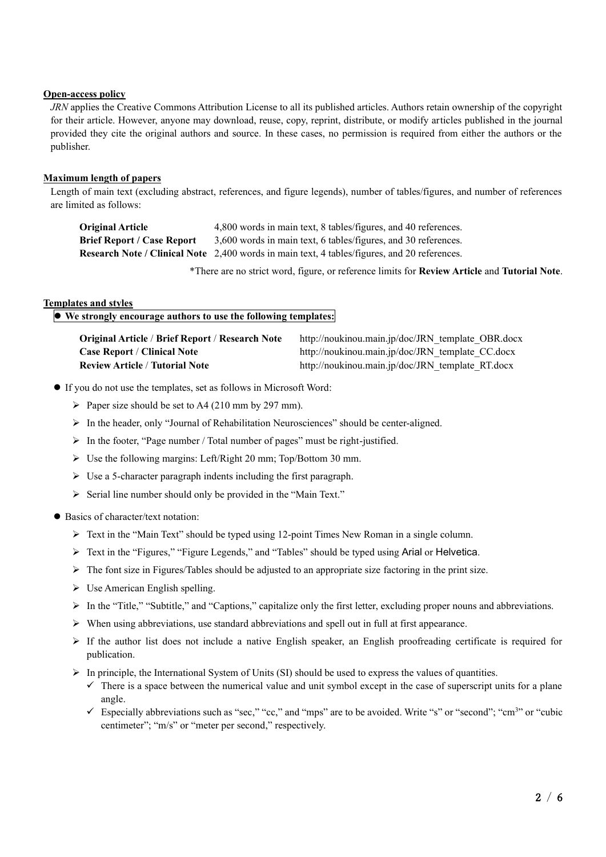# **Open-access policy**

*JRN* applies the Creative Commons Attribution License to all its published articles. Authors retain ownership of the copyright for their article. However, anyone may download, reuse, copy, reprint, distribute, or modify articles published in the journal provided they cite the original authors and source. In these cases, no permission is required from either the authors or the publisher.

# **Maximum length of papers**

Length of main text (excluding abstract, references, and figure legends), number of tables/figures, and number of references are limited as follows:

**Original Article** 4,800 words in main text, 8 tables/figures, and 40 references. **Brief Report / Case Report** 3,600 words in main text, 6 tables/figures, and 30 references. **Research Note / Clinical Note** 2,400 words in main text, 4 tables/figures, and 20 references.

\*There are no strict word, figure, or reference limits for **Review Article** and **Tutorial Note**.

#### **Templates and styles**

#### ⚫ **We strongly encourage authors to use the following templates:**

| <b>Original Article / Brief Report / Research Note</b> | http://noukinou.main.jp/doc/JRN template OBR.docx |
|--------------------------------------------------------|---------------------------------------------------|
| <b>Case Report / Clinical Note</b>                     | http://noukinou.main.jp/doc/JRN template CC.docx  |
| <b>Review Article / Tutorial Note</b>                  | http://noukinou.main.jp/doc/JRN template RT.docx  |

- ⚫ If you do not use the templates, set as follows in Microsoft Word:
	- $\triangleright$  Paper size should be set to A4 (210 mm by 297 mm).
	- $\triangleright$  In the header, only "Journal of Rehabilitation Neurosciences" should be center-aligned.
	- ➢ In the footer, "Page number / Total number of pages" must be right-justified.
	- ➢ Use the following margins: Left/Right 20 mm; Top/Bottom 30 mm.
	- $\triangleright$  Use a 5-character paragraph indents including the first paragraph.
	- ➢ Serial line number should only be provided in the "Main Text."
- Basics of character/text notation:
	- $\triangleright$  Text in the "Main Text" should be typed using 12-point Times New Roman in a single column.
	- ➢ Text in the "Figures," "Figure Legends," and "Tables" should be typed using Arial or Helvetica.
	- $\triangleright$  The font size in Figures/Tables should be adjusted to an appropriate size factoring in the print size.
	- $\triangleright$  Use American English spelling.
	- $\triangleright$  In the "Title," "Subtitle," and "Captions," capitalize only the first letter, excluding proper nouns and abbreviations.
	- $\triangleright$  When using abbreviations, use standard abbreviations and spell out in full at first appearance.
	- $\triangleright$  If the author list does not include a native English speaker, an English proofreading certificate is required for publication.
	- $\triangleright$  In principle, the International System of Units (SI) should be used to express the values of quantities.
		- $\checkmark$  There is a space between the numerical value and unit symbol except in the case of superscript units for a plane angle.
		- $\checkmark$  Especially abbreviations such as "sec," "cc," and "mps" are to be avoided. Write "s" or "second"; "cm<sup>3</sup>" or "cubic centimeter"; "m/s" or "meter per second," respectively.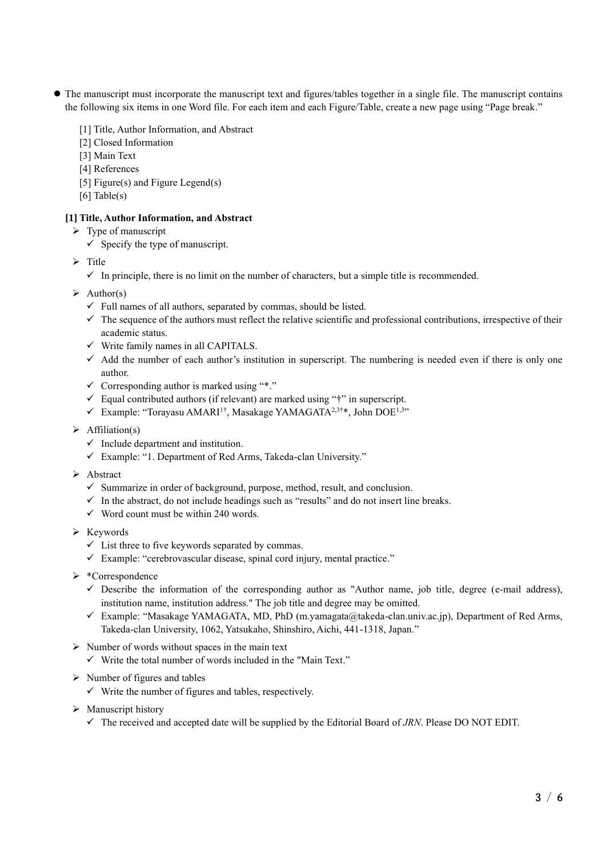- ⚫ The manuscript must incorporate the manuscript text and figures/tables together in a single file. The manuscript contains the following six items in one Word file. For each item and each Figure/Table, create a new page using "Page break."
	- [1] Title, Author Information, and Abstract
	- [2] Closed Information
	- [3] Main Text
	- [4] References
	- [5] Figure(s) and Figure Legend(s)
	- $[6]$  Table(s)

# **[1] Title, Author Information, and Abstract**

- ➢ Type of manuscript
	- $\checkmark$  Specify the type of manuscript.
- ➢ Title
	- $\checkmark$  In principle, there is no limit on the number of characters, but a simple title is recommended.
- $\triangleright$  Author(s)
	- $\checkmark$  Full names of all authors, separated by commas, should be listed.
	- $\checkmark$  The sequence of the authors must reflect the relative scientific and professional contributions, irrespective of their academic status.
	- $\checkmark$  Write family names in all CAPITALS.
	- $\checkmark$  Add the number of each author's institution in superscript. The numbering is needed even if there is only one author.
	- $\checkmark$  Corresponding author is marked using "\*."
	- $\checkmark$  Equal contributed authors (if relevant) are marked using "†" in superscript.
	- ✓ Example: "Torayasu AMARI1† , Masakage YAMAGATA2,3†\*, John DOE1,3 "
- $\triangleright$  Affiliation(s)
	- $\checkmark$  Include department and institution.
	- ✓ Example: "1. Department of Red Arms, Takeda-clan University."
- ➢ Abstract
	- $\checkmark$  Summarize in order of background, purpose, method, result, and conclusion.
	- $\checkmark$  In the abstract, do not include headings such as "results" and do not insert line breaks.
	- $\checkmark$  Word count must be within 240 words.
- ➢ Keywords
	- $\checkmark$  List three to five keywords separated by commas.
	- ✓ Example: "cerebrovascular disease, spinal cord injury, mental practice."
- ➢ \*Correspondence
	- ✓ Describe the information of the corresponding author as "Author name, job title, degree (e-mail address), institution name, institution address." The job title and degree may be omitted.
	- ✓ Example: "Masakage YAMAGATA, MD, PhD (m.yamagata@takeda-clan.univ.ac.jp), Department of Red Arms, Takeda-clan University, 1062, Yatsukaho, Shinshiro, Aichi, 441-1318, Japan."
- $\triangleright$  Number of words without spaces in the main text
	- $\checkmark$  Write the total number of words included in the "Main Text."
- $\triangleright$  Number of figures and tables
	- $\checkmark$  Write the number of figures and tables, respectively.
- ➢ Manuscript history
	- ✓ The received and accepted date will be supplied by the Editorial Board of *JRN*. Please DO NOT EDIT.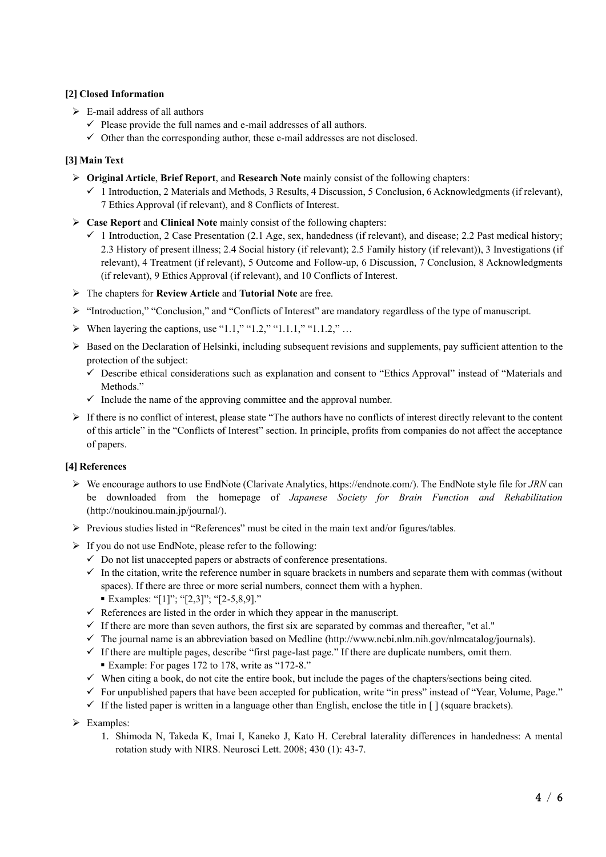# **[2] Closed Information**

- $\triangleright$  E-mail address of all authors
	- $\checkmark$  Please provide the full names and e-mail addresses of all authors.
	- $\checkmark$  Other than the corresponding author, these e-mail addresses are not disclosed.

# **[3] Main Text**

- ➢ **Original Article**, **Brief Report**, and **Research Note** mainly consist of the following chapters:
	- $\checkmark$  1 Introduction, 2 Materials and Methods, 3 Results, 4 Discussion, 5 Conclusion, 6 Acknowledgments (if relevant), 7 Ethics Approval (if relevant), and 8 Conflicts of Interest.
- ➢ **Case Report** and **Clinical Note** mainly consist of the following chapters:
	- $\checkmark$  1 Introduction, 2 Case Presentation (2.1 Age, sex, handedness (if relevant), and disease; 2.2 Past medical history; 2.3 History of present illness; 2.4 Social history (if relevant); 2.5 Family history (if relevant)), 3 Investigations (if relevant), 4 Treatment (if relevant), 5 Outcome and Follow-up, 6 Discussion, 7 Conclusion, 8 Acknowledgments (if relevant), 9 Ethics Approval (if relevant), and 10 Conflicts of Interest.
- ➢ The chapters for **Review Article** and **Tutorial Note** are free.
- ➢ "Introduction," "Conclusion," and "Conflicts of Interest" are mandatory regardless of the type of manuscript.
- $\triangleright$  When layering the captions, use "1.1," "1.2," "1.1.1," "1.1.2," ...
- ➢ Based on the Declaration of Helsinki, including subsequent revisions and supplements, pay sufficient attention to the protection of the subject:
	- ✓ Describe ethical considerations such as explanation and consent to "Ethics Approval" instead of "Materials and Methods<sup>"</sup>
	- $\checkmark$  Include the name of the approving committee and the approval number.
- ➢ If there is no conflict of interest, please state "The authors have no conflicts of interest directly relevant to the content of this article" in the "Conflicts of Interest" section. In principle, profits from companies do not affect the acceptance of papers.

# **[4] References**

- ➢ We encourage authors to use EndNote (Clarivate Analytics, https://endnote.com/). The EndNote style file for *JRN* can be downloaded from the homepage of *Japanese Society for Brain Function and Rehabilitation* (http://noukinou.main.jp/journal/).
- ➢ Previous studies listed in "References" must be cited in the main text and/or figures/tables.
- ➢ If you do not use EndNote, please refer to the following:
	- $\checkmark$  Do not list unaccepted papers or abstracts of conference presentations.
	- $\checkmark$  In the citation, write the reference number in square brackets in numbers and separate them with commas (without spaces). If there are three or more serial numbers, connect them with a hyphen. ▪ Examples: "[1]"; "[2,3]"; "[2-5,8,9]."
	- $\checkmark$  References are listed in the order in which they appear in the manuscript.
	- $\checkmark$  If there are more than seven authors, the first six are separated by commas and thereafter, "et al."
	- $\checkmark$  The journal name is an abbreviation based on Medline (http://www.ncbi.nlm.nih.gov/nlmcatalog/journals).
	- $\checkmark$  If there are multiple pages, describe "first page-last page." If there are duplicate numbers, omit them. ■ Example: For pages 172 to 178, write as "172-8."
	- ✓ When citing a book, do not cite the entire book, but include the pages of the chapters/sections being cited.
	- ✓ For unpublished papers that have been accepted for publication, write "in press" instead of "Year, Volume, Page."
	- $\checkmark$  If the listed paper is written in a language other than English, enclose the title in [ ] (square brackets).
- ➢ Examples:
	- 1. Shimoda N, Takeda K, Imai I, Kaneko J, Kato H. Cerebral laterality differences in handedness: A mental rotation study with NIRS. Neurosci Lett. 2008; 430 (1): 43-7.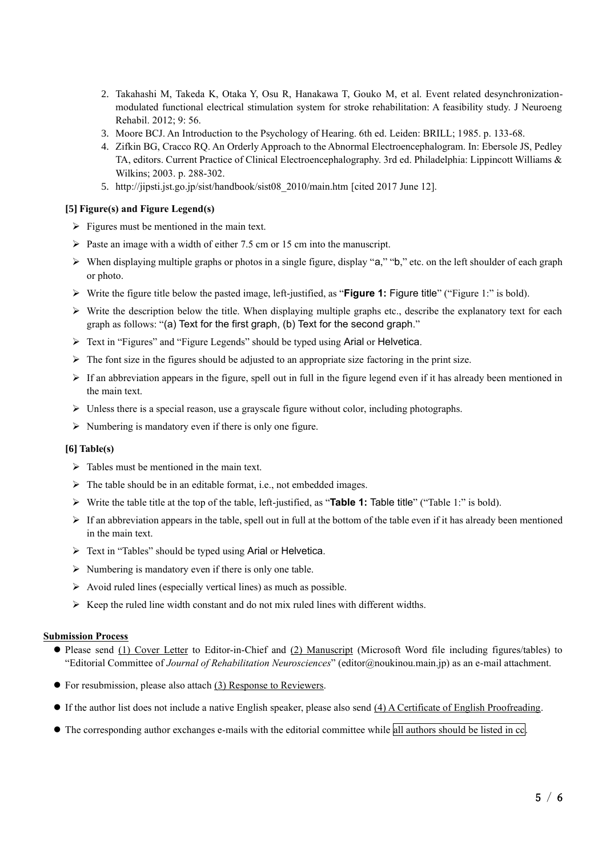- 2. Takahashi M, Takeda K, Otaka Y, Osu R, Hanakawa T, Gouko M, et al. Event related desynchronizationmodulated functional electrical stimulation system for stroke rehabilitation: A feasibility study. J Neuroeng Rehabil. 2012; 9: 56.
- 3. Moore BCJ. An Introduction to the Psychology of Hearing. 6th ed. Leiden: BRILL; 1985. p. 133-68.
- 4. Zifkin BG, Cracco RQ. An Orderly Approach to the Abnormal Electroencephalogram. In: Ebersole JS, Pedley TA, editors. Current Practice of Clinical Electroencephalography. 3rd ed. Philadelphia: Lippincott Williams & Wilkins; 2003. p. 288-302.
- 5. http://jipsti.jst.go.jp/sist/handbook/sist08\_2010/main.htm [cited 2017 June 12].

# **[5] Figure(s) and Figure Legend(s)**

- $\triangleright$  Figures must be mentioned in the main text.
- $\triangleright$  Paste an image with a width of either 7.5 cm or 15 cm into the manuscript.
- ➢ When displaying multiple graphs or photos in a single figure, display "a," "b," etc. on the left shoulder of each graph or photo.
- ➢ Write the figure title below the pasted image, left-justified, as "**Figure 1:** Figure title" ("Figure 1:" is bold).
- $\triangleright$  Write the description below the title. When displaying multiple graphs etc., describe the explanatory text for each graph as follows: "(a) Text for the first graph, (b) Text for the second graph."
- ➢ Text in "Figures" and "Figure Legends" should be typed using Arial or Helvetica.
- $\triangleright$  The font size in the figures should be adjusted to an appropriate size factoring in the print size.
- $\triangleright$  If an abbreviation appears in the figure, spell out in full in the figure legend even if it has already been mentioned in the main text.
- $\triangleright$  Unless there is a special reason, use a grayscale figure without color, including photographs.
- $\triangleright$  Numbering is mandatory even if there is only one figure.

#### **[6] Table(s)**

- $\triangleright$  Tables must be mentioned in the main text.
- $\triangleright$  The table should be in an editable format, i.e., not embedded images.
- ➢ Write the table title at the top of the table, left-justified, as "**Table 1:** Table title" ("Table 1:" is bold).
- $\triangleright$  If an abbreviation appears in the table, spell out in full at the bottom of the table even if it has already been mentioned in the main text.
- ➢ Text in "Tables" should be typed using Arial or Helvetica.
- $\triangleright$  Numbering is mandatory even if there is only one table.
- $\triangleright$  Avoid ruled lines (especially vertical lines) as much as possible.
- $\triangleright$  Keep the ruled line width constant and do not mix ruled lines with different widths.

#### **Submission Process**

- ⚫ Please send (1) Cover Letter to Editor-in-Chief and (2) Manuscript (Microsoft Word file including figures/tables) to "Editorial Committee of *Journal of Rehabilitation Neurosciences*" (editor@noukinou.main.jp) as an e-mail attachment.
- ⚫ For resubmission, please also attach (3) Response to Reviewers.
- ⚫ If the author list does not include a native English speaker, please also send (4) A Certificate of English Proofreading.
- The corresponding author exchanges e-mails with the editorial committee while all authors should be listed in cc.